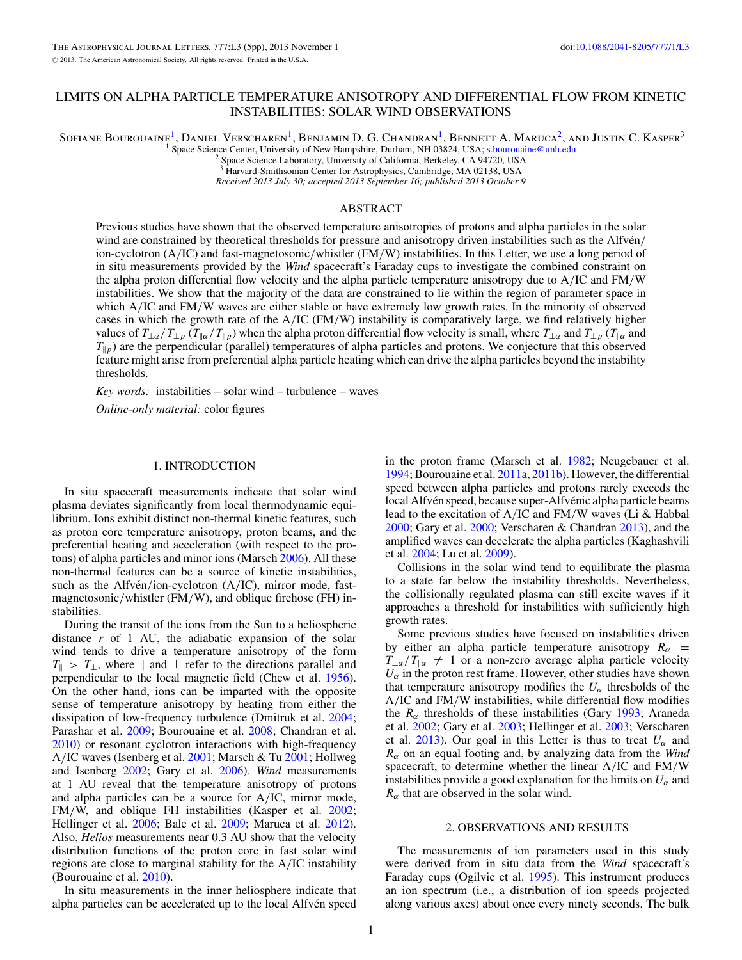Sofiane Bourouaine<sup>1</sup>, Daniel Verscharen<sup>1</sup>, Benjamin D. G. Chandran<sup>1</sup>, Bennett A. Maruca<sup>2</sup>, and Justin C. Kasper<sup>3</sup>

<sup>1</sup> Space Science Center, University of New Hampshire, Durham, NH 03824, USA; [s.bourouaine@unh.edu](mailto:s.bourouaine@unh.edu) <sup>2</sup> Space Science Laboratory, University of California, Berkeley, CA 94720, USA

<sup>3</sup> Harvard-Smithsonian Center for Astrophysics, Cambridge, MA 02138, USA

*Received 2013 July 30; accepted 2013 September 16; published 2013 October 9*

# ABSTRACT

Previous studies have shown that the observed temperature anisotropies of protons and alpha particles in the solar wind are constrained by theoretical thresholds for pressure and anisotropy driven instabilities such as the Alfvén/ ion-cyclotron (A*/*IC) and fast-magnetosonic*/*whistler (FM*/*W) instabilities. In this Letter, we use a long period of in situ measurements provided by the *Wind* spacecraft's Faraday cups to investigate the combined constraint on the alpha proton differential flow velocity and the alpha particle temperature anisotropy due to A*/*IC and FM*/*W instabilities. We show that the majority of the data are constrained to lie within the region of parameter space in which A/IC and FM/W waves are either stable or have extremely low growth rates. In the minority of observed cases in which the growth rate of the A*/*IC (FM*/*W) instability is comparatively large, we find relatively higher values of  $T_{\perp\alpha}/T_{\perp p}$  ( $T_{\parallel\alpha}/T_{\parallel p}$ ) when the alpha proton differential flow velocity is small, where  $T_{\perp\alpha}$  and  $T_{\perp p}$  ( $T_{\parallel\alpha}$  and  $T_{\parallel p}$ ) are the perpendicular (parallel) temperatures of alpha particles and protons. We conjecture that this observed feature might arise from preferential alpha particle heating which can drive the alpha particles beyond the instability thresholds.

*Key words:* instabilities – solar wind – turbulence – waves

*Online-only material:* color figures

# 1. INTRODUCTION

In situ spacecraft measurements indicate that solar wind plasma deviates significantly from local thermodynamic equilibrium. Ions exhibit distinct non-thermal kinetic features, such as proton core temperature anisotropy, proton beams, and the preferential heating and acceleration (with respect to the protons) of alpha particles and minor ions (Marsch [2006\)](#page-3-0). All these non-thermal features can be a source of kinetic instabilities, such as the Alfvén/ion-cyclotron (A/IC), mirror mode, fastmagnetosonic*/*whistler (FM*/*W), and oblique firehose (FH) instabilities.

During the transit of the ions from the Sun to a heliospheric distance *r* of 1 AU, the adiabatic expansion of the solar wind tends to drive a temperature anisotropy of the form  $T_{\parallel}$  >  $T_{\perp}$ , where  $\parallel$  and  $\perp$  refer to the directions parallel and perpendicular to the local magnetic field (Chew et al. [1956\)](#page-3-0). On the other hand, ions can be imparted with the opposite sense of temperature anisotropy by heating from either the dissipation of low-frequency turbulence (Dmitruk et al. [2004;](#page-3-0) Parashar et al. [2009;](#page-4-0) Bourouaine et al. [2008;](#page-3-0) Chandran et al. [2010\)](#page-3-0) or resonant cyclotron interactions with high-frequency A*/*IC waves (Isenberg et al. [2001;](#page-3-0) Marsch & Tu [2001;](#page-4-0) Hollweg and Isenberg [2002;](#page-3-0) Gary et al. [2006\)](#page-3-0). *Wind* measurements at 1 AU reveal that the temperature anisotropy of protons and alpha particles can be a source for A*/*IC, mirror mode, FM*/*W, and oblique FH instabilities (Kasper et al. [2002;](#page-3-0) Hellinger et al. [2006;](#page-3-0) Bale et al. [2009;](#page-3-0) Maruca et al. [2012\)](#page-4-0). Also, *Helios* measurements near 0.3 AU show that the velocity distribution functions of the proton core in fast solar wind regions are close to marginal stability for the A*/*IC instability (Bourouaine et al. [2010\)](#page-3-0).

In situ measurements in the inner heliosphere indicate that alpha particles can be accelerated up to the local Alfvén speed

in the proton frame (Marsch et al. [1982;](#page-4-0) Neugebauer et al. [1994;](#page-4-0) Bourouaine et al. [2011a,](#page-3-0) [2011b\)](#page-3-0). However, the differential speed between alpha particles and protons rarely exceeds the local Alfvén speed, because super-Alfvénic alpha particle beams lead to the excitation of A*/*IC and FM*/*W waves (Li & Habbal [2000;](#page-3-0) Gary et al. [2000;](#page-3-0) Verscharen & Chandran [2013\)](#page-4-0), and the amplified waves can decelerate the alpha particles (Kaghashvili et al. [2004;](#page-3-0) Lu et al. [2009\)](#page-3-0).

Collisions in the solar wind tend to equilibrate the plasma to a state far below the instability thresholds. Nevertheless, the collisionally regulated plasma can still excite waves if it approaches a threshold for instabilities with sufficiently high growth rates.

Some previous studies have focused on instabilities driven by either an alpha particle temperature anisotropy  $R_\alpha$  =  $T_{\perp\alpha}/T_{\parallel\alpha} \neq 1$  or a non-zero average alpha particle velocity  $U_{\alpha}$  in the proton rest frame. However, other studies have shown that temperature anisotropy modifies the  $U_{\alpha}$  thresholds of the A*/*IC and FM*/*W instabilities, while differential flow modifies the *Rα* thresholds of these instabilities (Gary [1993;](#page-3-0) Araneda et al. [2002;](#page-3-0) Gary et al. [2003;](#page-3-0) Hellinger et al. [2003;](#page-3-0) Verscharen et al. [2013\)](#page-4-0). Our goal in this Letter is thus to treat  $U_{\alpha}$  and *Rα* on an equal footing and, by analyzing data from the *Wind* spacecraft, to determine whether the linear A*/*IC and FM*/*W instabilities provide a good explanation for the limits on  $U_{\alpha}$  and  $R_{\alpha}$  that are observed in the solar wind.

### 2. OBSERVATIONS AND RESULTS

The measurements of ion parameters used in this study were derived from in situ data from the *Wind* spacecraft's Faraday cups (Ogilvie et al. [1995\)](#page-4-0). This instrument produces an ion spectrum (i.e., a distribution of ion speeds projected along various axes) about once every ninety seconds. The bulk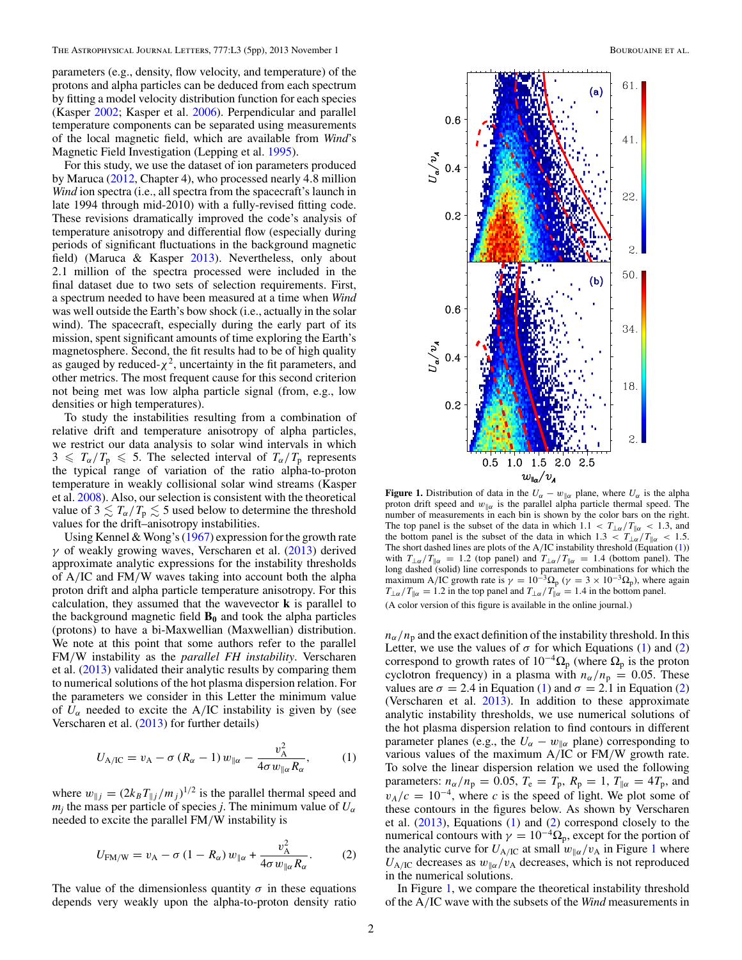<span id="page-1-0"></span>parameters (e.g., density, flow velocity, and temperature) of the protons and alpha particles can be deduced from each spectrum by fitting a model velocity distribution function for each species (Kasper [2002;](#page-3-0) Kasper et al. [2006\)](#page-3-0). Perpendicular and parallel temperature components can be separated using measurements of the local magnetic field, which are available from *Wind*'s Magnetic Field Investigation (Lepping et al. [1995\)](#page-3-0).

For this study, we use the dataset of ion parameters produced by Maruca [\(2012,](#page-4-0) Chapter 4), who processed nearly 4*.*8 million *Wind* ion spectra (i.e., all spectra from the spacecraft's launch in late 1994 through mid-2010) with a fully-revised fitting code. These revisions dramatically improved the code's analysis of temperature anisotropy and differential flow (especially during periods of significant fluctuations in the background magnetic field) (Maruca & Kasper [2013\)](#page-4-0). Nevertheless, only about 2*.*1 million of the spectra processed were included in the final dataset due to two sets of selection requirements. First, a spectrum needed to have been measured at a time when *Wind* was well outside the Earth's bow shock (i.e., actually in the solar wind). The spacecraft, especially during the early part of its mission, spent significant amounts of time exploring the Earth's magnetosphere. Second, the fit results had to be of high quality as gauged by reduced- $\chi^2$ , uncertainty in the fit parameters, and other metrics. The most frequent cause for this second criterion not being met was low alpha particle signal (from, e.g., low densities or high temperatures).

To study the instabilities resulting from a combination of relative drift and temperature anisotropy of alpha particles, we restrict our data analysis to solar wind intervals in which  $3 \leq T_\alpha/T_p \leq 5$ . The selected interval of  $T_\alpha/T_p$  represents the typical range of variation of the ratio alpha-to-proton temperature in weakly collisional solar wind streams (Kasper et al. [2008\)](#page-3-0). Also, our selection is consistent with the theoretical value of  $3 \lesssim T_\alpha/T_p \lesssim 5$  used below to determine the threshold values for the drift–anisotropy instabilities.

Using Kennel & Wong's [\(1967\)](#page-3-0) expression for the growth rate *γ* of weakly growing waves, Verscharen et al. [\(2013\)](#page-4-0) derived approximate analytic expressions for the instability thresholds of A*/*IC and FM*/*W waves taking into account both the alpha proton drift and alpha particle temperature anisotropy. For this calculation, they assumed that the wavevector **k** is parallel to the background magnetic field  $\mathbf{B}_0$  and took the alpha particles (protons) to have a bi-Maxwellian (Maxwellian) distribution. We note at this point that some authors refer to the parallel FM*/*W instability as the *parallel FH instability*. Verscharen et al. [\(2013\)](#page-4-0) validated their analytic results by comparing them to numerical solutions of the hot plasma dispersion relation. For the parameters we consider in this Letter the minimum value of  $U_{\alpha}$  needed to excite the A/IC instability is given by (see Verscharen et al. [\(2013\)](#page-4-0) for further details)

$$
U_{\text{A/IC}} = v_{\text{A}} - \sigma (R_{\alpha} - 1) w_{\parallel \alpha} - \frac{v_{\text{A}}^2}{4\sigma w_{\parallel \alpha} R_{\alpha}}, \quad (1)
$$

where  $w_{\parallel j} = (2k_B T_{\parallel j}/m_j)^{1/2}$  is the parallel thermal speed and  $m_i$  the mass per particle of species *j*. The minimum value of  $U_\alpha$ needed to excite the parallel FM*/*W instability is

$$
U_{\text{FM}/\text{W}} = v_{\text{A}} - \sigma (1 - R_{\alpha}) w_{\parallel \alpha} + \frac{v_{\text{A}}^2}{4\sigma w_{\parallel \alpha} R_{\alpha}}.
$$
 (2)

The value of the dimensionless quantity  $\sigma$  in these equations depends very weakly upon the alpha-to-proton density ratio



**Figure 1.** Distribution of data in the  $U_\alpha - w_{\parallel \alpha}$  plane, where  $U_\alpha$  is the alpha proton drift speed and  $w_{\parallel \alpha}$  is the parallel alpha particle thermal speed. The number of measurements in each bin is shown by the color bars on the right. The top panel is the subset of the data in which  $1.1 < T_{\perp\alpha}/T_{\parallel\alpha} < 1.3$ , and the bottom panel is the subset of the data in which  $1.3 < T_{\perp\alpha}/T_{\parallel\alpha} < 1.5$ . The short dashed lines are plots of the A*/*IC instability threshold (Equation (1)) with  $T_{\perp\alpha}/T_{\parallel\alpha} = 1.2$  (top panel) and  $T_{\perp\alpha}/T_{\parallel\alpha} = 1.4$  (bottom panel). The long dashed (solid) line corresponds to parameter combinations for which the maximum A/IC growth rate is  $\gamma = 10^{-3} \Omega_p$  ( $\gamma = 3 \times 10^{-3} \Omega_p$ ), where again  $T_{\perp\alpha}/T_{\parallel\alpha} = 1.2$  in the top panel and  $T_{\perp\alpha}/T_{\parallel\alpha} = 1.4$  in the bottom panel. (A color version of this figure is available in the online journal.)

 $n_{\alpha}/n_{\rm p}$  and the exact definition of the instability threshold. In this Letter, we use the values of  $\sigma$  for which Equations (1) and (2) correspond to growth rates of  $10^{-4}\Omega_p$  (where  $\Omega_p$  is the proton cyclotron frequency) in a plasma with  $n_{\alpha}/n_{\rm p} = 0.05$ . These values are  $\sigma = 2.4$  in Equation (1) and  $\sigma = 2.1$  in Equation (2) (Verscharen et al. [2013\)](#page-4-0). In addition to these approximate analytic instability thresholds, we use numerical solutions of the hot plasma dispersion relation to find contours in different parameter planes (e.g., the  $U_{\alpha} - w_{\alpha}$  plane) corresponding to various values of the maximum A*/*IC or FM*/*W growth rate. To solve the linear dispersion relation we used the following parameters:  $n_{\alpha}/n_{\text{p}} = 0.05$ ,  $T_{\text{e}} = T_{\text{p}}$ ,  $R_{\text{p}} = 1$ ,  $T_{\parallel \alpha} = 4T_{\text{p}}$ , and  $v_A/c = 10^{-4}$ , where *c* is the speed of light. We plot some of these contours in the figures below. As shown by Verscharen et al. [\(2013\)](#page-4-0), Equations (1) and (2) correspond closely to the numerical contours with  $\gamma = 10^{-4} \Omega_p$ , except for the portion of the analytic curve for  $U_{A/IC}$  at small  $w_{\alpha}/v_A$  in Figure 1 where  $U_{A/IC}$  decreases as  $w_{\alpha}/v_A$  decreases, which is not reproduced in the numerical solutions.

In Figure 1, we compare the theoretical instability threshold of the A*/*IC wave with the subsets of the *Wind* measurements in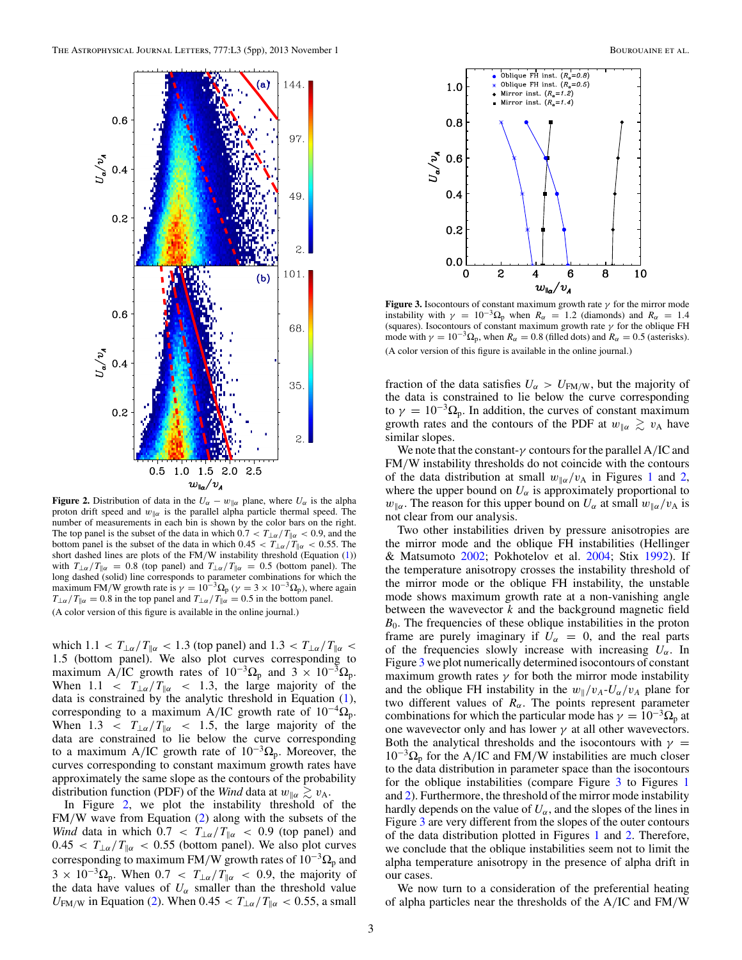

**Figure 2.** Distribution of data in the  $U_\alpha - w_{\parallel \alpha}$  plane, where  $U_\alpha$  is the alpha proton drift speed and  $w_{\parallel\alpha}$  is the parallel alpha particle thermal speed. The number of measurements in each bin is shown by the color bars on the right. The top panel is the subset of the data in which  $0.7 < T_{\perp \alpha}/T_{\parallel \alpha} < 0.9$ , and the bottom panel is the subset of the data in which  $0.45 < T_{\perp\alpha}/T_{\parallel\alpha} < 0.55$ . The short dashed lines are plots of the FM/W instability threshold (Equation [\(1\)](#page-1-0)) with  $T_{\perp\alpha}/T_{\parallel\alpha} = 0.8$  (top panel) and  $T_{\perp\alpha}/T_{\parallel\alpha} = 0.5$  (bottom panel). The long dashed (solid) line corresponds to parameter combinations for which the maximum FM/W growth rate is  $\gamma = 10^{-3} \Omega_p$  ( $\gamma = 3 \times 10^{-3$ *T*⊥*α* / *T*<sub> $\alpha$ *</sub> = 0.8 in the top panel and <i>T*<sub>⊥*α*</sub> / *T*<sub> $\alpha$ </sub> = 0.5 in the bottom panel.</sub> (A color version of this figure is available in the online journal.)

which  $1.1 < T_{\perp\alpha}/T_{\parallel\alpha} < 1.3$  (top panel) and  $1.3 < T_{\perp\alpha}/T_{\parallel\alpha} <$ 1*.*5 (bottom panel). We also plot curves corresponding to maximum A/IC growth rates of  $10^{-3} \Omega_p$  and  $3 \times 10^{-3} \Omega_p$ . When  $1.1 < T_{\text{L}\alpha}/T_{\text{R}\alpha} < 1.3$ , the large majority of the data is constrained by the analytic threshold in Equation [\(1\)](#page-1-0), corresponding to a maximum A*/*IC growth rate of 10−<sup>4</sup>Ωp. When  $1.3 < T_{\text{L}\alpha}/T_{\text{R}\alpha} < 1.5$ , the large majority of the data are constrained to lie below the curve corresponding to a maximum A/IC growth rate of  $10^{-3} \Omega_p$ . Moreover, the curves corresponding to constant maximum growth rates have approximately the same slope as the contours of the probability distribution function (PDF) of the *Wind* data at  $w_{\parallel \alpha} \gtrsim v_A$ .

In Figure 2, we plot the instability threshold of the FM*/*W wave from Equation [\(2\)](#page-1-0) along with the subsets of the *Wind* data in which  $0.7 < T_{\text{L}\alpha}/T_{\text{R}\alpha} < 0.9$  (top panel) and  $0.45 < T_{\perp\alpha}/T_{\parallel\alpha} < 0.55$  (bottom panel). We also plot curves corresponding to maximum FM/W growth rates of  $10^{-3} \Omega_p$  and  $3 \times 10^{-3} \Omega_p$ . When  $0.7 < T_{\perp \alpha}/T_{\parallel \alpha} < 0.9$ , the majority of the data have values of  $U_\alpha$  smaller than the threshold value *U*<sub>FM/W</sub> in Equation [\(2\)](#page-1-0). When  $0.45 < T_{\perp \alpha}/T_{\parallel \alpha} < 0.55$ , a small



**Figure 3.** Isocontours of constant maximum growth rate  $\gamma$  for the mirror mode instability with  $\gamma = 10^{-3} \Omega_p$  when  $R_\alpha = 1.2$  (diamonds) and  $R_\alpha = 1.4$ (squares). Isocontours of constant maximum growth rate *γ* for the oblique FH mode with  $\gamma = 10^{-3} \Omega_p$ , when  $R_\alpha = 0.8$  (filled dots) and  $R_\alpha = 0.5$  (asterisks). (A color version of this figure is available in the online journal.)

fraction of the data satisfies  $U_{\alpha} > U_{FM/W}$ , but the majority of the data is constrained to lie below the curve corresponding to  $\gamma = 10^{-3} \Omega_p$ . In addition, the curves of constant maximum growth rates and the contours of the PDF at  $w_{\parallel \alpha} \gtrsim v_A$  have similar slopes.

We note that the constant-*γ* contours for the parallel A*/*IC and FM*/*W instability thresholds do not coincide with the contours of the data distribution at small  $w_{\alpha}/v_{\rm A}$  in Figures [1](#page-1-0) and 2, where the upper bound on  $U_{\alpha}$  is approximately proportional to *w*<sub>*llα*</sub>. The reason for this upper bound on  $U_{\alpha}$  at small  $w_{\alpha}/v_{A}$  is not clear from our analysis.

Two other instabilities driven by pressure anisotropies are the mirror mode and the oblique FH instabilities (Hellinger & Matsumoto [2002;](#page-3-0) Pokhotelov et al. [2004;](#page-4-0) Stix [1992\)](#page-4-0). If the temperature anisotropy crosses the instability threshold of the mirror mode or the oblique FH instability, the unstable mode shows maximum growth rate at a non-vanishing angle between the wavevector *k* and the background magnetic field  $B_0$ . The frequencies of these oblique instabilities in the proton frame are purely imaginary if  $U_\alpha = 0$ , and the real parts of the frequencies slowly increase with increasing  $U_{\alpha}$ . In Figure 3 we plot numerically determined isocontours of constant maximum growth rates  $\gamma$  for both the mirror mode instability and the oblique FH instability in the  $w_{\parallel}/v_A$ - $U_{\alpha}/v_A$  plane for two different values of  $R_{\alpha}$ . The points represent parameter combinations for which the particular mode has  $\gamma = 10^{-3} \Omega_p$  at one wavevector only and has lower  $\gamma$  at all other wavevectors. Both the analytical thresholds and the isocontours with  $\gamma$  = 10−<sup>3</sup>Ω<sup>p</sup> for the A*/*IC and FM*/*W instabilities are much closer to the data distribution in parameter space than the isocontours for the oblique instabilities (compare Figure 3 to Figures [1](#page-1-0) and 2). Furthermore, the threshold of the mirror mode instability hardly depends on the value of  $U_\alpha$ , and the slopes of the lines in Figure 3 are very different from the slopes of the outer contours of the data distribution plotted in Figures [1](#page-1-0) and 2. Therefore, we conclude that the oblique instabilities seem not to limit the alpha temperature anisotropy in the presence of alpha drift in our cases.

We now turn to a consideration of the preferential heating of alpha particles near the thresholds of the A*/*IC and FM*/*W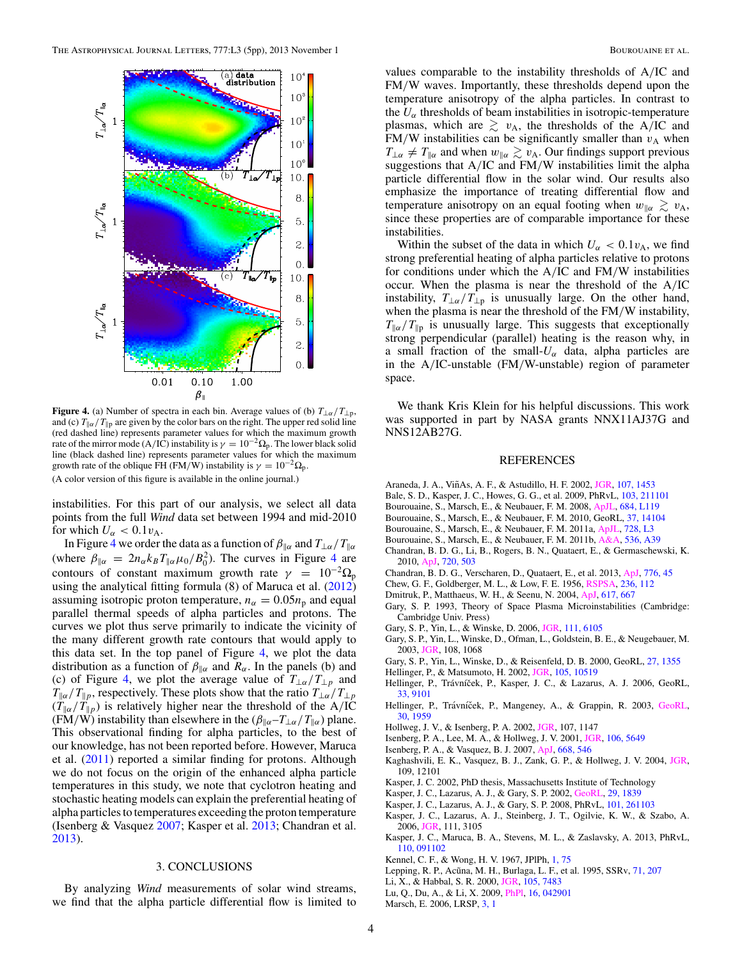<span id="page-3-0"></span>

**Figure 4.** (a) Number of spectra in each bin. Average values of (b)  $T_{\perp\alpha}/T_{\perp p}$ , and (c)  $T_{\parallel \alpha}/T_{\parallel p}$  are given by the color bars on the right. The upper red solid line (red dashed line) represents parameter values for which the maximum growth rate of the mirror mode (A/IC) instability is  $\gamma = 10^{-2} \Omega_p$ . The lower black solid line (black dashed line) represents parameter values for which the maximum growth rate of the oblique FH (FM/W) instability is  $\gamma = 10^{-2} \Omega_p$ .

(A color version of this figure is available in the online journal.)

instabilities. For this part of our analysis, we select all data points from the full *Wind* data set between 1994 and mid-2010 for which  $U_{\alpha} < 0.1 v_{A}$ .

In Figure 4 we order the data as a function of  $\beta_{\parallel \alpha}$  and  $T_{\perp \alpha}/T_{\parallel \alpha}$ (where  $\beta_{\parallel \alpha} = 2n_{\alpha}k_B T_{\parallel \alpha} \mu_0 / B_0^2$ ). The curves in Figure 4 are contours of constant maximum growth rate  $\gamma = 10^{-2} \Omega_p$ using the analytical fitting formula (8) of Maruca et al. [\(2012\)](#page-4-0) assuming isotropic proton temperature,  $n_{\alpha} = 0.05n_{\rm p}$  and equal parallel thermal speeds of alpha particles and protons. The curves we plot thus serve primarily to indicate the vicinity of the many different growth rate contours that would apply to this data set. In the top panel of Figure 4, we plot the data distribution as a function of  $\beta_{\parallel \alpha}$  and  $\overline{R_{\alpha}}$ . In the panels (b) and (c) of Figure 4, we plot the average value of  $T_{\perp \alpha}/T_{\perp p}$  and  $T_{\parallel \alpha}/T_{\parallel p}$ , respectively. These plots show that the ratio  $T_{\perp \alpha}/T_{\perp p}$  $(T_{\alpha}/T_{\beta})$  is relatively higher near the threshold of the A/IC (FM/W) instability than elsewhere in the  $(\beta_{\parallel \alpha} - T_{\perp \alpha}/T_{\parallel \alpha})$  plane. This observational finding for alpha particles, to the best of our knowledge, has not been reported before. However, Maruca et al. [\(2011\)](#page-4-0) reported a similar finding for protons. Although we do not focus on the origin of the enhanced alpha particle temperatures in this study, we note that cyclotron heating and stochastic heating models can explain the preferential heating of alpha particles to temperatures exceeding the proton temperature (Isenberg & Vasquez 2007; Kasper et al. 2013; Chandran et al. 2013).

#### 3. CONCLUSIONS

By analyzing *Wind* measurements of solar wind streams, we find that the alpha particle differential flow is limited to values comparable to the instability thresholds of A*/*IC and FM*/*W waves. Importantly, these thresholds depend upon the temperature anisotropy of the alpha particles. In contrast to the  $U_{\alpha}$  thresholds of beam instabilities in isotropic-temperature plasmas, which are  $\geq v_A$ , the thresholds of the A/IC and FM/W instabilities can be significantly smaller than  $v_A$  when  $T_{\perp\alpha} \neq T_{\parallel\alpha}$  and when  $w_{\parallel\alpha} \gtrsim v_A$ . Our findings support previous suggestions that A/IC and FM/W instabilities limit the alpha particle differential flow in the solar wind. Our results also emphasize the importance of treating differential flow and temperature anisotropy on an equal footing when  $w_{\parallel \alpha} \gtrsim v_A$ , since these properties are of comparable importance for these instabilities.

Within the subset of the data in which  $U_{\alpha} < 0.1 v_{A}$ , we find strong preferential heating of alpha particles relative to protons for conditions under which the A*/*IC and FM*/*W instabilities occur. When the plasma is near the threshold of the A*/*IC instability,  $T_{\perp\alpha}/T_{\perp p}$  is unusually large. On the other hand, when the plasma is near the threshold of the FM*/*W instability,  $T_{\alpha}/T_{\beta}$  is unusually large. This suggests that exceptionally strong perpendicular (parallel) heating is the reason why, in a small fraction of the small- $U_\alpha$  data, alpha particles are in the A*/*IC-unstable (FM*/*W-unstable) region of parameter space.

We thank Kris Klein for his helpful discussions. This work was supported in part by NASA grants NNX11AJ37G and NNS12AB27G.

### REFERENCES

- Araneda, J. A., ViñAs, A. F., & Astudillo, H. F. 2002, [JGR,](http://dx.doi.org/10.1029/2002JA009337) [107, 1453](http://adsabs.harvard.edu/abs/2002JGRA..107.1453A)
- Bale, S. D., Kasper, J. C., Howes, G. G., et al. 2009, PhRvL, [103, 211101](http://adsabs.harvard.edu/abs/2009PhRvL.103u1101B)
- Bourouaine, S., Marsch, E., & Neubauer, F. M. 2008, [ApJL,](http://dx.doi.org/10.1086/592243) [684, L119](http://adsabs.harvard.edu/abs/2008ApJ...684L.119B)
- Bourouaine, S., Marsch, E., & Neubauer, F. M. 2010, GeoRL, [37, 14104](http://adsabs.harvard.edu/abs/2010GeoRL..3714104B)
- Bourouaine, S., Marsch, E., & Neubauer, F. M. 2011a, [ApJL,](http://dx.doi.org/10.1088/2041-8205/728/1/L3) [728, L3](http://adsabs.harvard.edu/abs/2011ApJ...728L...3B)
- Bourouaine, S., Marsch, E., & Neubauer, F. M. 2011b, [A&A,](http://dx.doi.org/10.1051/0004-6361/201117866) [536, A39](http://adsabs.harvard.edu/abs/2011A&A...536A..39B)
- Chandran, B. D. G., Li, B., Rogers, B. N., Quataert, E., & Germaschewski, K. 2010, [ApJ,](http://dx.doi.org/10.1088/0004-637X/720/1/503) [720, 503](http://adsabs.harvard.edu/abs/2010ApJ...720..503C)
- Chandran, B. D. G., Verscharen, D., Quataert, E., et al. 2013, [ApJ,](http://dx.doi.org/10.1088/0004-637X/776/1/45) [776, 45](http://adsabs.harvard.edu/abs/2013ApJ...776...45C)
- Chew, G. F., Goldberger, M. L., & Low, F. E. 1956, [RSPSA,](http://dx.doi.org/10.1098/rspa.1956.0116) [236, 112](http://adsabs.harvard.edu/abs/1956RSPSA.236..112C)
- Dmitruk, P., Matthaeus, W. H., & Seenu, N. 2004, [ApJ,](http://dx.doi.org/10.1086/425301) [617, 667](http://adsabs.harvard.edu/abs/2004ApJ...617..667D)
- Gary, S. P. 1993, Theory of Space Plasma Microinstabilities (Cambridge: Cambridge Univ. Press)
- Gary, S. P., Yin, L., & Winske, D. 2006, [JGR,](http://dx.doi.org/10.1029/2005JA011552) [111, 6105](http://adsabs.harvard.edu/abs/2006JGRA..111.6105G)
- Gary, S. P., Yin, L., Winske, D., Ofman, L., Goldstein, B. E., & Neugebauer, M. 2003, [JGR,](http://dx.doi.org/10.1029/2002JA009654) 108, 1068
- Gary, S. P., Yin, L., Winske, D., & Reisenfeld, D. B. 2000, GeoRL, [27, 1355](http://adsabs.harvard.edu/abs/2000GeoRL..27.1355G)
- Hellinger, P., & Matsumoto, H. 2002, [JGR,](http://dx.doi.org/10.1029/1999JA000297) [105, 10519](http://adsabs.harvard.edu/abs/2000JGR...10510519H)
- Hellinger, P., Trávníček, P., Kasper, J. C., & Lazarus, A. J. 2006, GeoRL, [33, 9101](http://adsabs.harvard.edu/abs/2006GeoRL..33.9101H)
- Hellinger, P., Trávníček, P., Mangeney, A., & Grappin, R. 2003, [GeoRL,](http://dx.doi.org/10.1029/2003GL017855) [30, 1959](http://adsabs.harvard.edu/abs/2003GeoRL..30.1959H)
- Hollweg, J. V., & Isenberg, P. A. 2002, [JGR,](http://dx.doi.org/10.1029/2001JA000270) 107, 1147
- Isenberg, P. A., Lee, M. A., & Hollweg, J. V. 2001, [JGR,](http://dx.doi.org/10.1029/2000JA000099) [106, 5649](http://adsabs.harvard.edu/abs/2001JGR...106.5649I)
- Isenberg, P. A., & Vasquez, B. J. 2007, [ApJ,](http://dx.doi.org/10.1086/521220) [668, 546](http://adsabs.harvard.edu/abs/2007ApJ...668..546I)
- Kaghashvili, E. K., Vasquez, B. J., Zank, G. P., & Hollweg, J. V. 2004, [JGR,](http://dx.doi.org/10.1029/2004JA010382) 109, 12101
- Kasper, J. C. 2002, PhD thesis, Massachusetts Institute of Technology
- Kasper, J. C., Lazarus, A. J., & Gary, S. P. 2002, [GeoRL,](http://dx.doi.org/10.1029/2002GL015128) [29, 1839](http://adsabs.harvard.edu/abs/2002GeoRL..29.1839K)
- Kasper, J. C., Lazarus, A. J., & Gary, S. P. 2008, PhRvL, [101, 261103](http://adsabs.harvard.edu/abs/2008PhRvL.101z1103K)
- Kasper, J. C., Lazarus, A. J., Steinberg, J. T., Ogilvie, K. W., & Szabo, A. 2006, [JGR,](http://dx.doi.org/10.1029/2005JA011442) 111, 3105
- Kasper, J. C., Maruca, B. A., Stevens, M. L., & Zaslavsky, A. 2013, PhRvL, [110, 091102](http://adsabs.harvard.edu/abs/2013PhRvL.110i1102K)
- Kennel, C. F., & Wong, H. V. 1967, JPlPh, [1, 75](http://adsabs.harvard.edu/abs/1967JPlPh...1...75K)
- Lepping, R. P., Acūna, M. H., Burlaga, L. F., et al. 1995, SSRv, [71, 207](http://adsabs.harvard.edu/abs/1995SSRv...71..207L)
- Li, X., & Habbal, S. R. 2000, [JGR,](http://dx.doi.org/10.1029/1999JA000259) [105, 7483](http://adsabs.harvard.edu/abs/2000JGR...105.7483L)
- Lu, Q., Du, A., & Li, X. 2009, [PhPl,](http://dx.doi.org/10.1063/1.3116651) [16, 042901](http://adsabs.harvard.edu/abs/2009PhPl...16d2901L)
- 
- Marsch, E. 2006, LRSP, [3, 1](http://adsabs.harvard.edu/abs/2006LRSP....3....1M)